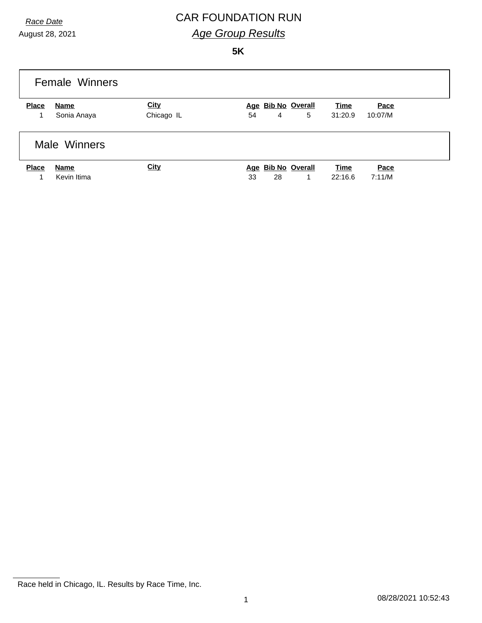August 28, 2021

# *Race Date* CAR FOUNDATION RUN *Age Group Results*

#### **5K**

|              | <b>Female Winners</b> |                           |                                     |                        |                 |
|--------------|-----------------------|---------------------------|-------------------------------------|------------------------|-----------------|
| <b>Place</b> | Name<br>Sonia Anaya   | <b>City</b><br>Chicago IL | Age Bib No Overall<br>5<br>54<br>4  | <b>Time</b><br>31:20.9 | Pace<br>10:07/M |
|              | Male Winners          |                           |                                     |                        |                 |
| <b>Place</b> | Name<br>Kevin Itima   | <b>City</b>               | Age Bib No Overall<br>28<br>33<br>1 | <b>Time</b><br>22:16.6 | Pace<br>7:11/M  |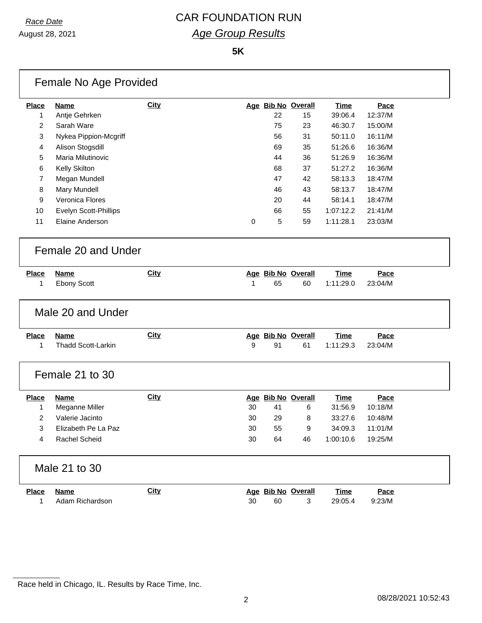August 28, 2021

# *Race Date* CAR FOUNDATION RUN *Age Group Results*

**5K**

|                | Female No Age Provided    |             |    |    |                    |             |         |  |
|----------------|---------------------------|-------------|----|----|--------------------|-------------|---------|--|
| <b>Place</b>   | <b>Name</b>               | <b>City</b> |    |    | Age Bib No Overall | Time        | Pace    |  |
| 1              | Antje Gehrken             |             |    | 22 | 15                 | 39:06.4     | 12:37/M |  |
| 2              | Sarah Ware                |             |    | 75 | 23                 | 46:30.7     | 15:00/M |  |
| 3              | Nykea Pippion-Mcgriff     |             |    | 56 | 31                 | 50:11.0     | 16:11/M |  |
| 4              | Alison Stogsdill          |             |    | 69 | 35                 | 51:26.6     | 16:36/M |  |
| 5              | Maria Milutinovic         |             |    | 44 | 36                 | 51:26.9     | 16:36/M |  |
| 6              | Kelly Skilton             |             |    | 68 | 37                 | 51:27.2     | 16:36/M |  |
| $\overline{7}$ | Megan Mundell             |             |    | 47 | 42                 | 58:13.3     | 18:47/M |  |
| 8              | Mary Mundell              |             |    | 46 | 43                 | 58:13.7     | 18:47/M |  |
| 9              | Veronica Flores           |             |    | 20 | 44                 | 58:14.1     | 18:47/M |  |
| 10             | Evelyn Scott-Phillips     |             |    | 66 | 55                 | 1:07:12.2   | 21:41/M |  |
| 11             | Elaine Anderson           |             | 0  | 5  | 59                 | 1:11:28.1   | 23:03/M |  |
|                | Female 20 and Under       |             |    |    |                    |             |         |  |
| <b>Place</b>   | <b>Name</b>               | <b>City</b> |    |    | Age Bib No Overall | <b>Time</b> | Pace    |  |
| 1              | <b>Ebony Scott</b>        |             | 1  | 65 | 60                 | 1:11:29.0   | 23:04/M |  |
|                | Male 20 and Under         |             |    |    |                    |             |         |  |
| <b>Place</b>   | <b>Name</b>               | City        |    |    | Age Bib No Overall | <b>Time</b> | Pace    |  |
| 1              | <b>Thadd Scott-Larkin</b> |             | 9  | 91 | 61                 | 1:11:29.3   | 23:04/M |  |
|                | Female 21 to 30           |             |    |    |                    |             |         |  |
| <b>Place</b>   | <b>Name</b>               | <b>City</b> |    |    | Age Bib No Overall | <b>Time</b> | Pace    |  |
| 1              | Meganne Miller            |             | 30 | 41 | 6                  | 31:56.9     | 10:18/M |  |
| 2              | Valerie Jacinto           |             | 30 | 29 | 8                  | 33:27.6     | 10:48/M |  |
| 3              | Elizabeth Pe La Paz       |             | 30 | 55 | 9                  | 34:09.3     | 11:01/M |  |
| 4              | Rachel Scheid             |             | 30 | 64 | 46                 | 1:00:10.6   | 19:25/M |  |
|                | Male 21 to 30             |             |    |    |                    |             |         |  |
| <b>Place</b>   | <b>Name</b>               | <b>City</b> |    |    | Age Bib No Overall | <u>Time</u> | Pace    |  |
| $\mathbf{1}$   | Adam Richardson           |             | 30 | 60 | 3                  | 29:05.4     | 9:23/M  |  |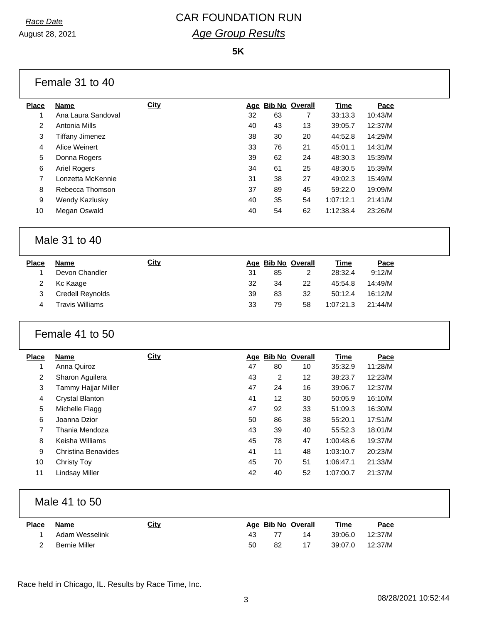August 28, 2021

### *Race Date* CAR FOUNDATION RUN *Age Group Results*

**5K**

| Ana Laura Sandoval<br>Antonia Mills<br><b>Tiffany Jimenez</b><br>Alice Weinert<br>Donna Rogers<br><b>Ariel Rogers</b><br>Lonzetta McKennie<br>Rebecca Thomson<br>Wendy Kazlusky<br>Megan Oswald<br>Male 31 to 40<br><b>Name</b><br>Devon Chandler<br>Kc Kaage<br><b>Credell Reynolds</b><br><b>Travis Williams</b> | <b>City</b>                                                             | 32<br>40<br>38<br>33<br>39<br>34<br>31<br>37<br>40<br>40<br>31<br>32<br>39<br>33 | 63<br>43<br>30<br>76<br>62<br>61<br>38<br>89<br>35<br>54<br>85<br>34<br>83<br>79 | $\overline{7}$<br>13<br>20<br>21<br>24<br>25<br>27<br>45<br>54<br>62<br>Age Bib No Overall<br>$\overline{2}$<br>22<br>32 | 33:13.3<br>39:05.7<br>44:52.8<br>45:01.1<br>48:30.3<br>48:30.5<br>49:02.3<br>59:22.0<br>1:07:12.1<br>1:12:38.4<br><b>Time</b><br>28:32.4<br>45:54.8<br>50:12.4 | 10:43/M<br>12:37/M<br>14:29/M<br>14:31/M<br>15:39/M<br>15:39/M<br>15:49/M<br>19:09/M<br>21:41/M<br>23:26/M<br>Pace<br>9:12/M<br>14:49/M<br>16:12/M |
|--------------------------------------------------------------------------------------------------------------------------------------------------------------------------------------------------------------------------------------------------------------------------------------------------------------------|-------------------------------------------------------------------------|----------------------------------------------------------------------------------|----------------------------------------------------------------------------------|--------------------------------------------------------------------------------------------------------------------------|----------------------------------------------------------------------------------------------------------------------------------------------------------------|----------------------------------------------------------------------------------------------------------------------------------------------------|
|                                                                                                                                                                                                                                                                                                                    |                                                                         |                                                                                  |                                                                                  |                                                                                                                          |                                                                                                                                                                |                                                                                                                                                    |
|                                                                                                                                                                                                                                                                                                                    |                                                                         |                                                                                  |                                                                                  |                                                                                                                          |                                                                                                                                                                |                                                                                                                                                    |
|                                                                                                                                                                                                                                                                                                                    |                                                                         |                                                                                  |                                                                                  |                                                                                                                          |                                                                                                                                                                |                                                                                                                                                    |
|                                                                                                                                                                                                                                                                                                                    |                                                                         |                                                                                  |                                                                                  |                                                                                                                          |                                                                                                                                                                |                                                                                                                                                    |
|                                                                                                                                                                                                                                                                                                                    |                                                                         |                                                                                  |                                                                                  |                                                                                                                          |                                                                                                                                                                |                                                                                                                                                    |
|                                                                                                                                                                                                                                                                                                                    |                                                                         |                                                                                  |                                                                                  |                                                                                                                          |                                                                                                                                                                |                                                                                                                                                    |
|                                                                                                                                                                                                                                                                                                                    |                                                                         |                                                                                  |                                                                                  |                                                                                                                          |                                                                                                                                                                |                                                                                                                                                    |
|                                                                                                                                                                                                                                                                                                                    |                                                                         |                                                                                  |                                                                                  |                                                                                                                          |                                                                                                                                                                |                                                                                                                                                    |
|                                                                                                                                                                                                                                                                                                                    |                                                                         |                                                                                  |                                                                                  |                                                                                                                          |                                                                                                                                                                |                                                                                                                                                    |
|                                                                                                                                                                                                                                                                                                                    |                                                                         |                                                                                  |                                                                                  |                                                                                                                          |                                                                                                                                                                |                                                                                                                                                    |
|                                                                                                                                                                                                                                                                                                                    |                                                                         |                                                                                  |                                                                                  |                                                                                                                          |                                                                                                                                                                |                                                                                                                                                    |
|                                                                                                                                                                                                                                                                                                                    |                                                                         |                                                                                  |                                                                                  |                                                                                                                          |                                                                                                                                                                |                                                                                                                                                    |
|                                                                                                                                                                                                                                                                                                                    |                                                                         |                                                                                  |                                                                                  |                                                                                                                          |                                                                                                                                                                |                                                                                                                                                    |
|                                                                                                                                                                                                                                                                                                                    |                                                                         |                                                                                  |                                                                                  |                                                                                                                          |                                                                                                                                                                |                                                                                                                                                    |
|                                                                                                                                                                                                                                                                                                                    |                                                                         |                                                                                  |                                                                                  |                                                                                                                          |                                                                                                                                                                |                                                                                                                                                    |
|                                                                                                                                                                                                                                                                                                                    |                                                                         |                                                                                  |                                                                                  | 58                                                                                                                       | 1:07:21.3                                                                                                                                                      | 21:44/M                                                                                                                                            |
| Female 41 to 50                                                                                                                                                                                                                                                                                                    |                                                                         |                                                                                  |                                                                                  |                                                                                                                          |                                                                                                                                                                |                                                                                                                                                    |
| <b>Name</b>                                                                                                                                                                                                                                                                                                        | <b>City</b>                                                             |                                                                                  |                                                                                  |                                                                                                                          | <b>Time</b>                                                                                                                                                    | Pace                                                                                                                                               |
|                                                                                                                                                                                                                                                                                                                    |                                                                         |                                                                                  |                                                                                  |                                                                                                                          |                                                                                                                                                                | 11:28/M                                                                                                                                            |
|                                                                                                                                                                                                                                                                                                                    |                                                                         |                                                                                  |                                                                                  |                                                                                                                          |                                                                                                                                                                | 12:23/M                                                                                                                                            |
|                                                                                                                                                                                                                                                                                                                    |                                                                         | 47                                                                               | 24                                                                               | 16                                                                                                                       | 39:06.7                                                                                                                                                        | 12:37/M                                                                                                                                            |
| Crystal Blanton                                                                                                                                                                                                                                                                                                    |                                                                         | 41                                                                               | 12                                                                               | 30                                                                                                                       | 50:05.9                                                                                                                                                        | 16:10/M                                                                                                                                            |
|                                                                                                                                                                                                                                                                                                                    |                                                                         |                                                                                  |                                                                                  |                                                                                                                          |                                                                                                                                                                | 16:30/M                                                                                                                                            |
| Joanna Dzior                                                                                                                                                                                                                                                                                                       |                                                                         | 50                                                                               | 86                                                                               | 38                                                                                                                       | 55:20.1                                                                                                                                                        | 17:51/M                                                                                                                                            |
| Thania Mendoza                                                                                                                                                                                                                                                                                                     |                                                                         | 43                                                                               | 39                                                                               | 40                                                                                                                       |                                                                                                                                                                | 18:01/M                                                                                                                                            |
| Keisha Williams                                                                                                                                                                                                                                                                                                    |                                                                         | 45                                                                               | 78                                                                               | 47                                                                                                                       | 1:00:48.6                                                                                                                                                      | 19:37/M                                                                                                                                            |
| <b>Christina Benavides</b>                                                                                                                                                                                                                                                                                         |                                                                         | 41                                                                               | 11                                                                               | 48                                                                                                                       | 1:03:10.7                                                                                                                                                      | 20:23/M                                                                                                                                            |
| <b>Christy Toy</b>                                                                                                                                                                                                                                                                                                 |                                                                         | 45                                                                               | 70                                                                               | 51                                                                                                                       | 1:06:47.1                                                                                                                                                      | 21:33/M                                                                                                                                            |
| <b>Lindsay Miller</b>                                                                                                                                                                                                                                                                                              |                                                                         | 42                                                                               | 40                                                                               | 52                                                                                                                       | 1:07:00.7                                                                                                                                                      | 21:37/M                                                                                                                                            |
|                                                                                                                                                                                                                                                                                                                    | Anna Quiroz<br>Sharon Aguilera<br>Tammy Hajjar Miller<br>Michelle Flagg |                                                                                  | 47<br>43<br>47                                                                   | 80<br>$\overline{c}$<br>92<br>Male 41 to 50                                                                              | Age Bib No Overall<br>10<br>12<br>33                                                                                                                           | 35:32.9<br>38:23.7<br>51:09.3<br>55:52.3                                                                                                           |

| Place | Name             | <u>City</u> |     | Age Bib No Overall |    | Time            | <u>Pace</u> |
|-------|------------------|-------------|-----|--------------------|----|-----------------|-------------|
|       | 1 Adam Wesselink |             | 43. |                    | 14 |                 |             |
|       | Bernie Miller    |             | 50  | 82                 |    | 39:07.0 12:37/M |             |